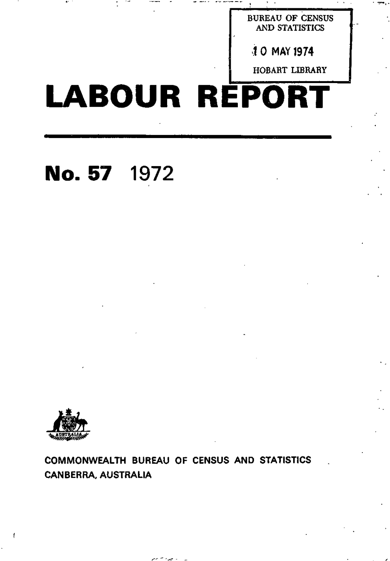BUREAU OF CENSUS AND STATISTICS

**1 0 MAY 1974** 

HOBART LIBRARY

# **LABOUR REPORT**

# No. 57 1972



### **COMMONWEALTH BUREAU OF CENSUS AND STATISTICS CANBERRA, AUSTRALIA**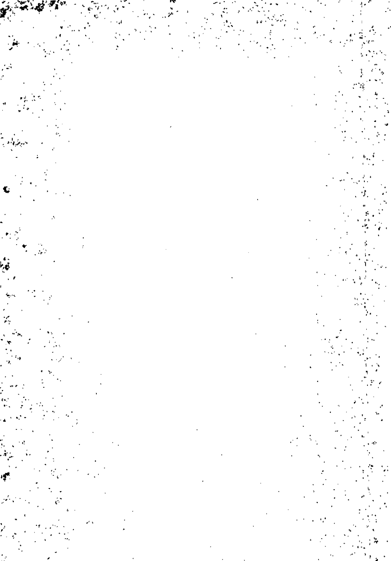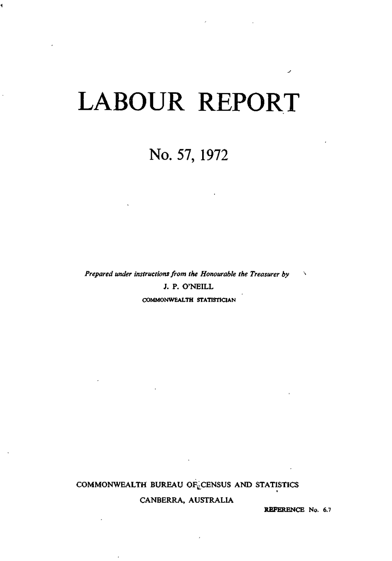# LABOUR REPORT

ł

## No. 57, 1972

*Prepared under instructions from the Honourable the Treasurer by* J. P. O'NEILL **COMMONWEALTH STATISTICIAN** 

COMMONWEALTH BUREAU OF $_{c}$ CENSUS AND STATISTICS

CANBERRA, AUSTRALIA

REFERENCE No. 6.7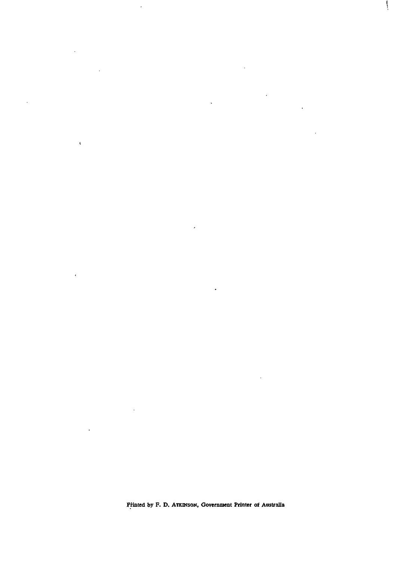Printed by F. D. ATKINSON, Government Printer of Australia

÷,

l,

i,

 $\bar{\rm c}$ 

J.

 $\sim$ 

l,

ţ

l,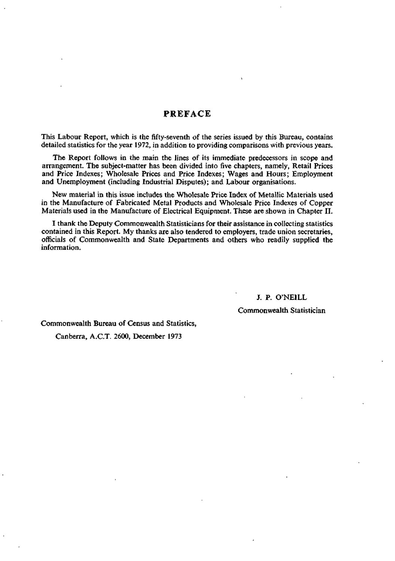#### PREFACE

This Labour Report, which is the fifty-seventh of the series issued by this Bureau, contains detailed statistics for the year 1972, in addition to providing comparisons with previous years.

The Report follows in the main the lines of its immediate predecessors in scope and arrangement. The subject-matter has been divided into five chapters, namely, Retail Prices and Price Indexes; Wholesale Prices and Price Indexes; Wages and Hours; Employment and Unemployment (including Industrial Disputes); and Labour organisations.

New material in this issue includes the Wholesale Price Index of Metallic Materials used in the Manufacture of Fabricated Metal Products and Wholesale Price Indexes of Copper Materials used in the Manufacture of Electrical Equipment. These are shown in Chapter II.

I thank the Deputy Commonwealth Statisticians for their assistance in collecting statistics contained in this Report. My thanks are also tendered to employers, trade union secretaries, officials of Commonwealth and State Departments and others who readily supplied the information.

#### J. P. O'NEILL

#### Commonwealth Statistician

Commonwealth Bureau of Census and Statistics,

Canberra, A.C.T. 2600, December 1973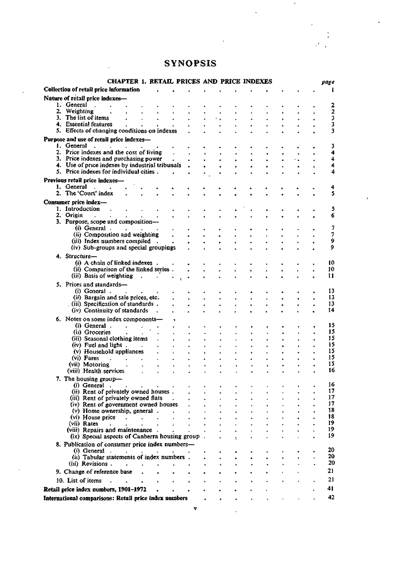#### SYNOPSIS

| CHAPTER 1, RETAIL PRICES AND PRICE INDEXES                                                                                                                                                                                                                                  |                         |                                                             |                            |  |  |   | page     |
|-----------------------------------------------------------------------------------------------------------------------------------------------------------------------------------------------------------------------------------------------------------------------------|-------------------------|-------------------------------------------------------------|----------------------------|--|--|---|----------|
| Collection of retail price information $\cdots$ , $\cdots$                                                                                                                                                                                                                  |                         |                                                             |                            |  |  | ٠ | ı        |
| Nature of retail price indexes-                                                                                                                                                                                                                                             |                         |                                                             |                            |  |  |   |          |
| 1. General                                                                                                                                                                                                                                                                  |                         |                                                             |                            |  |  |   | 2        |
|                                                                                                                                                                                                                                                                             |                         |                                                             |                            |  |  |   | 2<br>3   |
| 2. Weighting<br>3. The list of items<br>4. Essential features                                                                                                                                                                                                               |                         |                                                             | $\ddot{\phantom{0}}$       |  |  |   | 3        |
| 5. Effects of changing conditions on indexes .                                                                                                                                                                                                                              |                         |                                                             |                            |  |  |   | 3        |
| Purpose and use of retail price indexes-                                                                                                                                                                                                                                    |                         |                                                             |                            |  |  |   |          |
| 1. General<br>2. Price indexes and the cost of living<br>3. Price indexes and purchasing power                                                                                                                                                                              |                         |                                                             |                            |  |  |   | 3        |
|                                                                                                                                                                                                                                                                             |                         |                                                             |                            |  |  |   | 4        |
| 4. Use of price indexes by industrial tribunals $\cdot$ .                                                                                                                                                                                                                   |                         |                                                             | $\mathcal{L}^{\text{max}}$ |  |  |   | 4        |
| 5. Price indexes for individual cities $\cdots$                                                                                                                                                                                                                             |                         |                                                             |                            |  |  |   |          |
| Previous retail price indexes—                                                                                                                                                                                                                                              |                         |                                                             |                            |  |  |   |          |
|                                                                                                                                                                                                                                                                             |                         |                                                             |                            |  |  |   | 4        |
|                                                                                                                                                                                                                                                                             |                         |                                                             |                            |  |  |   | 5        |
| Consumer price index—                                                                                                                                                                                                                                                       |                         |                                                             |                            |  |  |   |          |
|                                                                                                                                                                                                                                                                             |                         |                                                             |                            |  |  |   | 5        |
| 1. Introduction<br>2. Origin<br>3. Purpose, scope and composition-                                                                                                                                                                                                          |                         |                                                             |                            |  |  |   | 6        |
|                                                                                                                                                                                                                                                                             |                         |                                                             |                            |  |  |   |          |
| (i) General<br>(i) Composition and weighting<br>(ii) Index numbers compiled<br>(iv) Sub-groups and special groupings                                                                                                                                                        |                         |                                                             |                            |  |  |   | 7<br>7   |
|                                                                                                                                                                                                                                                                             |                         |                                                             |                            |  |  |   | 9        |
|                                                                                                                                                                                                                                                                             |                         |                                                             |                            |  |  |   | 9        |
| 4. Structure-                                                                                                                                                                                                                                                               |                         |                                                             |                            |  |  |   |          |
| (i) A chain of linked indexes $\therefore$                                                                                                                                                                                                                                  | $\sim 100$ km s $^{-1}$ | $\bullet$ .<br><br><br><br><br><br><br><br><br><br><br><br> |                            |  |  |   | 10       |
|                                                                                                                                                                                                                                                                             |                         |                                                             |                            |  |  |   | 10       |
| (ii) Comparison of the linked series.<br>(iii) Basis of weighting                                                                                                                                                                                                           |                         |                                                             |                            |  |  |   | n        |
| 5. Prices and standards—                                                                                                                                                                                                                                                    |                         |                                                             |                            |  |  |   |          |
|                                                                                                                                                                                                                                                                             |                         |                                                             |                            |  |  |   | 13       |
|                                                                                                                                                                                                                                                                             |                         |                                                             |                            |  |  |   | 13<br>13 |
| Three and standards—<br>(i) General .<br>(ii) Bargain and sale prices, etc.<br>(iii) Specification of standards<br>(iv) Continuity of standards                                                                                                                             |                         | $\ddotsc$                                                   |                            |  |  |   | 14       |
|                                                                                                                                                                                                                                                                             |                         |                                                             |                            |  |  |   |          |
| 6. Notes on some index components— $\cdot$<br>The solution of the set of the set of the set of the set of the set of the set of the set of the set of the set of the set of the set of the set of the set of the set of the set of the set of the set of the set of the set |                         |                                                             |                            |  |  |   | 15       |
|                                                                                                                                                                                                                                                                             |                         |                                                             |                            |  |  |   | 15       |
|                                                                                                                                                                                                                                                                             |                         |                                                             |                            |  |  |   | 15       |
|                                                                                                                                                                                                                                                                             |                         |                                                             |                            |  |  |   | 15       |
|                                                                                                                                                                                                                                                                             |                         |                                                             |                            |  |  |   | 15<br>15 |
|                                                                                                                                                                                                                                                                             |                         |                                                             |                            |  |  |   | 15       |
| (vii) Motoring<br>(viii) Health services                                                                                                                                                                                                                                    |                         |                                                             |                            |  |  |   | 16       |
| 7. The housing group-                                                                                                                                                                                                                                                       |                         |                                                             |                            |  |  |   |          |
| e housing group—<br>(i) General                                                                                                                                                                                                                                             |                         |                                                             |                            |  |  |   | 16       |
| (i) General $\cdot$ (ii) Rent of privately owned houses $\cdot$ (iii) Rent of privately owned flats $\cdot$ (iv) Rent of government owned houses $\cdot$                                                                                                                    |                         |                                                             |                            |  |  |   | 17       |
|                                                                                                                                                                                                                                                                             |                         |                                                             |                            |  |  |   | 17<br>17 |
|                                                                                                                                                                                                                                                                             |                         |                                                             |                            |  |  |   | 18       |
|                                                                                                                                                                                                                                                                             |                         |                                                             |                            |  |  |   | 18       |
|                                                                                                                                                                                                                                                                             |                         |                                                             |                            |  |  |   | 19       |
| (v) Home ownership, general<br>(vi) House price<br>(vi) Rates<br>(vii) Rates<br>(viii) Repairs and maintenance<br>(ix) Special aspects of Canberra housing group                                                                                                            |                         |                                                             |                            |  |  |   | 19       |
|                                                                                                                                                                                                                                                                             |                         |                                                             |                            |  |  |   | 19       |
| 8. Publication of consumer price index numbers-                                                                                                                                                                                                                             |                         |                                                             |                            |  |  |   | 20       |
| (i) General .<br>(ii) Tabular statements of index numbers.                                                                                                                                                                                                                  |                         |                                                             |                            |  |  |   | 20.      |
| (iii) Revisions.                                                                                                                                                                                                                                                            |                         |                                                             |                            |  |  |   | 20       |
| 9. Change of reference base                                                                                                                                                                                                                                                 |                         |                                                             |                            |  |  |   | 21       |
| 10. List of items                                                                                                                                                                                                                                                           |                         |                                                             |                            |  |  |   | 21       |
|                                                                                                                                                                                                                                                                             |                         |                                                             |                            |  |  |   | 41       |
| Retail price index numbers, 1901-1972                                                                                                                                                                                                                                       |                         |                                                             |                            |  |  |   |          |
| International comparisons: Retail price index numbers                                                                                                                                                                                                                       |                         |                                                             |                            |  |  |   | 42       |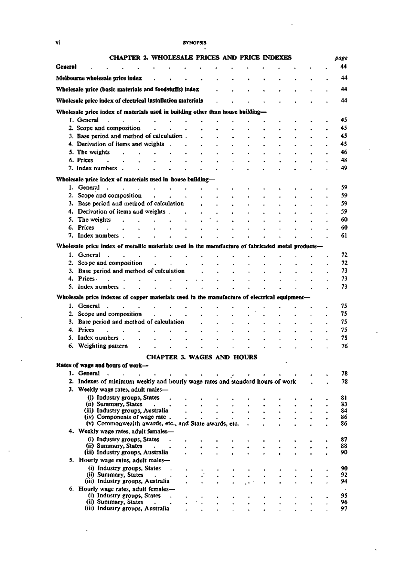|                | CHAPTER 2. WHOLESALE PRICES AND PRICE INDEXES                                                     |                                                                  |                                   |                                 |                    |                      |                      |         |   |    |                             |  | page      |
|----------------|---------------------------------------------------------------------------------------------------|------------------------------------------------------------------|-----------------------------------|---------------------------------|--------------------|----------------------|----------------------|---------|---|----|-----------------------------|--|-----------|
| <b>General</b> |                                                                                                   |                                                                  |                                   |                                 |                    |                      |                      |         |   |    |                             |  | 44        |
|                | Melbourne wholesale price index                                                                   |                                                                  |                                   |                                 |                    |                      |                      |         |   |    |                             |  | 44        |
|                | Wholesale price (basic materials and foodstuffs) index                                            |                                                                  |                                   |                                 |                    |                      |                      |         |   |    |                             |  | 44        |
|                | Wholesale price index of electrical installation materials                                        |                                                                  |                                   |                                 |                    |                      |                      |         |   |    |                             |  | 44        |
|                | Wholesale price index of materials used in building other than house building—                    |                                                                  |                                   |                                 |                    |                      |                      |         |   |    |                             |  |           |
|                | 1. General                                                                                        | $\mathbf{z}$ . The $\mathbf{z}$<br>$\sim$                        |                                   | $\mathbf{r} = \mathbf{r}$       | $\bullet$          |                      |                      |         |   |    |                             |  | 45        |
|                | 2. Scope and composition                                                                          | $\mathbf{A}$                                                     | $\mathbf{r}$                      |                                 |                    |                      |                      |         |   |    |                             |  | 45        |
|                | 3. Base period and method of calculation.                                                         |                                                                  |                                   |                                 |                    |                      |                      |         |   |    |                             |  | 45        |
|                | 4. Derivation of items and weights.                                                               |                                                                  |                                   | $\mathbf{L}^{\text{max}}$       | $\mathbf{r}$       |                      |                      |         |   |    |                             |  | 45        |
|                | 5. The weights<br><b>Contract</b>                                                                 | $\mathbf{r} = \mathbf{r}$                                        | $\mathbf{v} = \mathbf{v}$         |                                 |                    |                      |                      |         |   |    |                             |  | 46        |
|                | 6. Prices                                                                                         |                                                                  |                                   |                                 |                    |                      |                      |         |   |    |                             |  | 48        |
|                | 7. Index numbers.                                                                                 | ÷.<br>$\ddot{\phantom{0}}$                                       | $\bullet$ . The set of $\bullet$  | ¥                               | <b>All College</b> | $\bullet$            |                      |         |   |    |                             |  | 49        |
|                | Wholesale price index of materials used in house building-                                        |                                                                  |                                   |                                 |                    |                      |                      |         |   |    |                             |  |           |
|                | 1. General<br>$\mathbf{r}$                                                                        | $\ddot{\phantom{0}}$                                             |                                   | $\sim 10^{-1}$ , $\sim 10^{-1}$ |                    |                      |                      |         |   |    |                             |  | 59        |
|                | 2. Scope and composition                                                                          | $\bullet$                                                        | $\mathbf{A}$                      | $\mathbf{v}$                    |                    |                      |                      |         |   |    |                             |  | 59        |
|                | 3. Base period and method of calculation                                                          |                                                                  |                                   |                                 |                    |                      |                      |         |   |    |                             |  | 59        |
|                | 4. Derivation of items and weights.                                                               |                                                                  |                                   |                                 |                    |                      |                      |         |   |    |                             |  | 59        |
|                | 5. The weights<br><b>Contract Contract</b>                                                        | $\mathbf{r} = \mathbf{r} + \mathbf{r}$ . The set of $\mathbf{r}$ |                                   |                                 |                    |                      |                      |         |   |    |                             |  | 60        |
|                | 6. Prices                                                                                         |                                                                  |                                   |                                 |                    |                      |                      |         |   |    |                             |  | 60        |
|                | 7. Index numbers.                                                                                 | $\ddot{\phantom{0}}$<br>$\cdot$                                  | $\ddot{\phantom{0}}$              | $\blacksquare$                  | $\bullet$          | k,                   | ¥                    |         |   |    |                             |  | 61        |
|                | Wholesale price index of metallic materials used in the manufacture of fabricated metal products— |                                                                  |                                   |                                 |                    |                      |                      |         |   |    |                             |  |           |
|                | 1. General                                                                                        |                                                                  |                                   |                                 |                    |                      |                      |         |   |    |                             |  | 72        |
|                | 2. Scope and composition                                                                          |                                                                  | <b>Service State</b>              | $\sim$                          | $\sim$             |                      |                      |         |   |    |                             |  | 72        |
|                | 3. Base period and method of calculation .                                                        |                                                                  |                                   |                                 |                    | $\ddot{\phantom{0}}$ | $\ddot{\phantom{0}}$ | $\cdot$ | ÷ | ä, | $\hat{\boldsymbol{\cdot} }$ |  | 73        |
|                | 4. Prices.<br>$\sim$                                                                              |                                                                  |                                   |                                 |                    |                      |                      |         |   |    |                             |  | 73        |
|                | 5. Index numbers.                                                                                 | $\mathbf{r}$                                                     | ä.                                | $\sim$                          |                    |                      |                      |         |   |    |                             |  | 73        |
|                | Wholesale price indexes of copper materials used in the manufacture of electrical equipment—      |                                                                  |                                   |                                 |                    |                      |                      |         |   |    |                             |  |           |
|                | 1. General<br><b>Carl Carl Corporation</b>                                                        |                                                                  | and the company                   |                                 |                    |                      |                      |         |   |    |                             |  | 75        |
|                | 2. Scope and composition                                                                          | $\mathcal{L}$                                                    | $\bullet$                         | $\Delta$                        |                    |                      |                      |         |   |    |                             |  | 75        |
|                | 3. Base period and method of calculation                                                          |                                                                  |                                   |                                 |                    |                      |                      |         |   |    |                             |  | 75        |
|                | 4. Prices<br>$\mathbf{r}$                                                                         |                                                                  |                                   |                                 |                    |                      |                      |         |   |    |                             |  | 75        |
|                | 5. Index numbers.                                                                                 | v.                                                               |                                   |                                 |                    |                      |                      |         |   |    |                             |  | 75        |
|                | 6. Weighting pattern                                                                              | $\sim$                                                           |                                   |                                 | $\Delta$           | ä.                   |                      |         |   |    |                             |  | 76        |
|                |                                                                                                   |                                                                  | <b>CHAPTER 3. WAGES AND HOURS</b> |                                 |                    |                      |                      |         |   |    |                             |  |           |
|                | Rates of wage and bours of work-                                                                  |                                                                  |                                   |                                 |                    |                      |                      |         |   |    |                             |  |           |
|                | 1. General                                                                                        | $\mathbf{r}$                                                     | $\mathbf{L}$                      |                                 |                    |                      |                      |         |   |    |                             |  | 78        |
|                | 2. Indexes of minimum weekly and hourly wage rates and standard hours of work                     |                                                                  |                                   |                                 |                    |                      |                      |         |   |    |                             |  | 78        |
|                | 3. Weekly wage rates, adult males-                                                                |                                                                  |                                   |                                 |                    |                      |                      |         |   |    |                             |  |           |
|                | (i) Industry groups, States                                                                       |                                                                  |                                   |                                 |                    |                      |                      |         |   |    |                             |  | 81        |
|                | (ii) Summary, States                                                                              | $\sim$                                                           |                                   |                                 |                    |                      |                      |         |   |    |                             |  | 83        |
|                | (iii) Industry groups, Australia                                                                  |                                                                  |                                   |                                 |                    |                      |                      |         |   |    |                             |  | 84        |
|                | (iv) Components of wage rate.<br>(v) Commonwealth awards, etc., and State awards, etc.            |                                                                  |                                   |                                 |                    |                      |                      |         |   |    |                             |  | 86<br>86  |
|                | 4. Weekly wage rates, adult females-                                                              |                                                                  |                                   |                                 |                    |                      |                      |         |   |    |                             |  |           |
|                | (i) Industry groups, States                                                                       |                                                                  |                                   |                                 |                    |                      |                      |         |   |    |                             |  | 87        |
|                | (ii) Summary, States                                                                              | $\epsilon$                                                       |                                   |                                 |                    |                      |                      |         |   |    |                             |  | 88        |
|                | (iii) Industry groups, Australia                                                                  |                                                                  |                                   |                                 |                    |                      |                      |         |   |    |                             |  | 90        |
|                | 5. Hourly wage rates, adult males-                                                                |                                                                  |                                   |                                 |                    |                      |                      |         |   |    |                             |  |           |
|                | (i) Industry groups, States                                                                       |                                                                  |                                   |                                 |                    |                      |                      |         |   |    |                             |  | 90        |
|                | (ii) Summary, States<br>(iii) Industry groups, Australia                                          |                                                                  |                                   |                                 |                    |                      |                      |         |   |    |                             |  | 92.<br>94 |
|                | 6. Hourly wage rates, adult females-                                                              |                                                                  |                                   |                                 |                    |                      |                      |         |   |    |                             |  |           |
|                | (i) Industry groups, States                                                                       |                                                                  |                                   |                                 |                    |                      |                      |         |   |    |                             |  | 95        |
|                | (ii) Summary, States                                                                              |                                                                  |                                   |                                 |                    |                      |                      |         |   |    |                             |  | 96        |
|                | (iii) Industry groups, Australia                                                                  |                                                                  |                                   |                                 |                    |                      |                      |         |   |    |                             |  | 97        |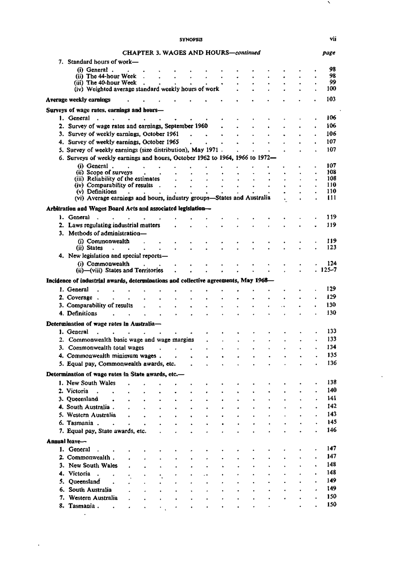|                                                                                     | <b>CHAPTER 3. WAGES AND HOURS-continued</b>                                   |                                          |                      |                          |                          |                          |           |                      |           |   |    |    | page       |
|-------------------------------------------------------------------------------------|-------------------------------------------------------------------------------|------------------------------------------|----------------------|--------------------------|--------------------------|--------------------------|-----------|----------------------|-----------|---|----|----|------------|
| 7. Standard hours of work-                                                          |                                                                               |                                          |                      |                          |                          |                          |           |                      |           |   |    |    |            |
| (i) General.                                                                        |                                                                               |                                          |                      |                          |                          |                          |           |                      |           |   |    |    | 98         |
| $(ii)$ The 44-hour Week $\blacksquare$                                              |                                                                               |                                          |                      |                          |                          |                          |           |                      |           |   |    |    | 98         |
| (iii) The 40-hour Week.                                                             |                                                                               |                                          |                      |                          |                          |                          |           |                      |           |   |    |    | 99         |
| (iv) Weighted average standard weekly hours of work                                 |                                                                               |                                          |                      |                          |                          |                          |           |                      |           |   |    |    | 100        |
| Average weekly earnings                                                             |                                                                               |                                          |                      |                          |                          |                          |           |                      |           |   |    |    | 103        |
|                                                                                     |                                                                               |                                          |                      |                          |                          |                          |           |                      |           |   |    |    |            |
| Surveys of wage rates, earnings and hours-                                          |                                                                               |                                          |                      |                          |                          |                          |           |                      |           |   |    |    |            |
| 1. General                                                                          |                                                                               |                                          |                      |                          |                          |                          |           |                      |           |   |    |    | 106        |
| 2. Survey of wage rates and earnings. September 1960                                |                                                                               |                                          |                      |                          |                          |                          |           |                      |           |   |    |    | 106        |
| 3. Survey of weekly earnings, October 1961.                                         |                                                                               |                                          |                      |                          |                          |                          | $\bullet$ |                      |           |   |    |    | 106        |
| 4. Survey of weekly earnings, October 1965                                          |                                                                               |                                          |                      |                          | $\mathbf{r}$             |                          |           |                      |           |   |    |    | 107        |
| 5. Survey of weekly earnings (size distribution), May 1971.                         |                                                                               |                                          |                      |                          |                          |                          |           |                      | $\bullet$ | ¥ | ¥. | ä, | 107        |
| 6. Surveys of weekly earnings and hours, October 1962 to 1964, 1966 to 1972-        |                                                                               |                                          |                      |                          |                          |                          |           |                      |           |   |    |    |            |
| (i) General.                                                                        | <b>Service Contractor</b>                                                     |                                          |                      | and the control of the   |                          |                          |           |                      |           |   |    |    | 107        |
| $(ii)$ Scope of surveys $\cdot$ $\cdot$<br>(iii) Reliability of the estimates       |                                                                               |                                          |                      |                          |                          |                          |           |                      |           |   |    |    | 108<br>108 |
| (iv) Comparability of results.                                                      |                                                                               |                                          |                      | $\sim 100$               | $\Delta \sim 10^{-10}$   |                          |           |                      |           |   |    |    | 110        |
| (v) Definitions                                                                     |                                                                               |                                          |                      |                          |                          |                          |           |                      |           |   |    |    | 110        |
| (vi) Average earnings and hours, industry groups-States and Australia               |                                                                               |                                          |                      |                          |                          |                          |           |                      |           |   |    |    | 111        |
| Arbitration and Wages Board Acts and associated legislation-                        |                                                                               |                                          |                      |                          |                          |                          |           |                      |           |   |    |    |            |
| 1. General                                                                          |                                                                               |                                          |                      |                          |                          |                          |           |                      |           |   |    |    |            |
|                                                                                     | $\mathbf{L}^{\text{max}} = \mathbf{L}^{\text{max}} = \mathbf{L}^{\text{max}}$ | $\rightarrow$                            |                      |                          |                          |                          |           |                      |           |   |    |    | 119        |
| 2. Laws regulating industrial matters                                               |                                                                               |                                          |                      |                          |                          |                          |           |                      |           |   |    |    | 119        |
| 3. Methods of administration-                                                       |                                                                               |                                          |                      |                          |                          |                          |           |                      |           |   |    |    |            |
| (i) Commonwealth                                                                    |                                                                               | <b>Contract</b>                          |                      |                          |                          |                          |           |                      |           |   |    |    | 119        |
| (ii) States                                                                         |                                                                               |                                          |                      |                          |                          |                          |           |                      |           |   |    |    | 123        |
| 4. New legislation and special reports-                                             |                                                                               |                                          |                      |                          |                          |                          |           |                      |           |   |    |    |            |
| (i) Commonwealth                                                                    |                                                                               |                                          |                      |                          |                          |                          |           |                      |           |   |    |    | 124        |
| (ii)-(viii) States and Territories                                                  |                                                                               |                                          |                      |                          |                          |                          |           |                      |           |   |    |    | $125 - 7$  |
| Incidence of industrial awards, determinations and collective agreements, May 1968— |                                                                               |                                          |                      |                          |                          |                          |           |                      |           |   |    |    |            |
| 1. General<br>$\Delta$                                                              |                                                                               | $\ddot{\phantom{1}}$                     | ¥.                   |                          |                          |                          |           |                      |           | ٠ | ٠  |    | 129        |
| 2. Coverage.                                                                        |                                                                               |                                          |                      |                          |                          |                          |           |                      |           |   |    |    | 129        |
| 3. Comparability of results                                                         |                                                                               |                                          |                      |                          |                          |                          |           |                      |           |   |    |    | 130        |
| 4. Definitions<br>$\bullet$ .                                                       |                                                                               | $\mathbf{a} = \mathbf{a} + \mathbf{a}$ . |                      | $\bullet$                | $\overline{\phantom{a}}$ |                          |           |                      |           |   |    |    | 130        |
|                                                                                     |                                                                               |                                          |                      |                          |                          |                          |           |                      |           |   |    |    |            |
| Determination of wage rates in Australia-                                           |                                                                               |                                          |                      |                          |                          |                          |           |                      |           |   |    |    |            |
| 1. General                                                                          | $\mathbf{L}$                                                                  |                                          |                      |                          |                          |                          |           |                      |           |   |    |    | 133        |
| 2. Commonwealth basic wage and wage margins                                         |                                                                               |                                          |                      |                          |                          |                          |           |                      |           |   |    |    | 133        |
| 3. Commonwealth total wages                                                         |                                                                               |                                          |                      | and a strategic control. |                          | ×.                       |           | $\ddot{\phantom{0}}$ |           |   |    |    | 134        |
| 4. Commonwealth minimum wages.                                                      |                                                                               |                                          |                      | $\epsilon$               |                          |                          |           |                      |           |   |    |    | 135        |
| 5. Equal pay, Commonwealth awards, etc.                                             |                                                                               |                                          |                      |                          |                          |                          |           |                      |           |   |    |    | 136        |
| Determination of wage rates in State awards, etc.-                                  |                                                                               |                                          |                      |                          |                          |                          |           |                      |           |   |    |    |            |
| 1. New South Wales                                                                  |                                                                               |                                          |                      |                          |                          |                          |           |                      |           |   |    |    | 138        |
| 2. Victoria<br>$\ddot{\phantom{a}}$                                                 |                                                                               |                                          |                      |                          |                          |                          |           |                      |           |   |    |    | 140        |
| 3. Oueensland                                                                       | $\blacksquare$                                                                |                                          |                      |                          |                          |                          |           |                      |           |   |    |    | 141        |
| 4. South Australia                                                                  |                                                                               | ٠                                        |                      |                          |                          |                          |           |                      |           |   |    |    | 142        |
| $\sim$                                                                              |                                                                               |                                          |                      |                          |                          |                          |           |                      |           |   |    |    | 143        |
| 5. Western Australia                                                                | $\bullet$<br>$\ddot{\phantom{1}}$                                             |                                          | ×.                   |                          |                          |                          |           |                      |           |   |    |    |            |
| 6. Tasmania.<br>$\mathbf{A}^{\mathbf{r}}$                                           |                                                                               |                                          |                      |                          |                          |                          |           |                      |           |   |    |    | 145        |
| 7. Equal pay, State awards, etc.                                                    |                                                                               |                                          | $\ddot{\phantom{0}}$ |                          |                          |                          |           |                      |           |   |    |    | 146        |
| Annual leave-                                                                       |                                                                               |                                          |                      |                          |                          |                          |           |                      |           |   |    |    |            |
| 1. General<br>$\sim$ $\sim$ $\sim$                                                  |                                                                               |                                          |                      |                          |                          |                          |           |                      |           |   |    |    | 147        |
| 2. Commonwealth.                                                                    |                                                                               |                                          |                      |                          |                          |                          |           |                      |           |   |    |    | 147        |
| 3. New South Wales                                                                  | ¥                                                                             |                                          |                      |                          |                          |                          |           |                      |           |   |    |    | 148        |
| 4. Victoria .                                                                       |                                                                               |                                          |                      |                          |                          |                          |           |                      |           |   |    |    | 148        |
| 5. Queensland                                                                       |                                                                               |                                          |                      |                          |                          | $\overline{\phantom{a}}$ |           | ٠                    |           |   |    |    | 149        |
|                                                                                     |                                                                               |                                          |                      |                          |                          |                          |           |                      |           |   |    |    | 149        |
| 6. South Australia                                                                  | ä.                                                                            |                                          |                      |                          |                          |                          |           |                      |           |   |    |    |            |
| 7. Western Australia                                                                | $\mathbf{r}$                                                                  |                                          |                      | ۰                        |                          |                          |           |                      |           |   |    |    | 150        |
|                                                                                     | $\sim$                                                                        | $\sim$                                   |                      |                          |                          |                          |           |                      |           |   |    |    | 150        |

 $\ddot{\phantom{a}}$ 

 $\cdot$ 

**\** 

 $\overline{\phantom{a}}$ 

SYNOPSIS vii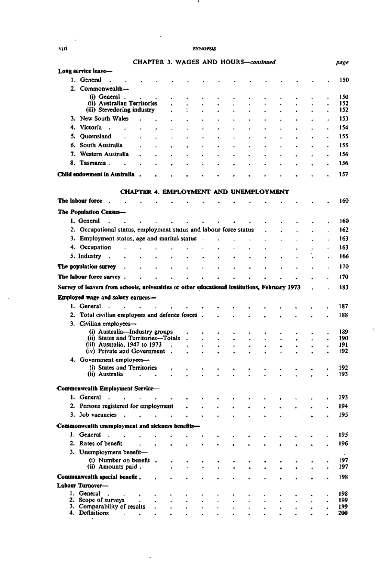#### **VI11 SYNOPSIS**

- 11

 $\ddot{\phantom{a}}$ 

|                                                                                               | CHAPTER 3. WAGES AND HOURS-continued   |  |  |  |  |  |  | page       |
|-----------------------------------------------------------------------------------------------|----------------------------------------|--|--|--|--|--|--|------------|
| Long service leave-                                                                           |                                        |  |  |  |  |  |  |            |
| 1. General                                                                                    |                                        |  |  |  |  |  |  | 150        |
| 2. Commonwealth-                                                                              |                                        |  |  |  |  |  |  |            |
| (i) General.                                                                                  |                                        |  |  |  |  |  |  | 150        |
| (ii) Australian Territories                                                                   |                                        |  |  |  |  |  |  | 152        |
| (iii) Stevedoring industry                                                                    |                                        |  |  |  |  |  |  | 152        |
| 3. New South Wales                                                                            |                                        |  |  |  |  |  |  | 153        |
| 4. Victoria<br>$\sim$                                                                         |                                        |  |  |  |  |  |  | 154        |
| 5. Queensland                                                                                 |                                        |  |  |  |  |  |  | 155        |
| 6. South Australia                                                                            |                                        |  |  |  |  |  |  | 155        |
| 7. Western Australia                                                                          |                                        |  |  |  |  |  |  | 156        |
| 8. Tasmania.                                                                                  |                                        |  |  |  |  |  |  | 156        |
| Child endowment in Australia.                                                                 |                                        |  |  |  |  |  |  | 157        |
|                                                                                               |                                        |  |  |  |  |  |  |            |
|                                                                                               | CHAPTER 4. EMPLOYMENT AND UNEMPLOYMENT |  |  |  |  |  |  |            |
| The labour force                                                                              |                                        |  |  |  |  |  |  | 160        |
| The Population Census-                                                                        |                                        |  |  |  |  |  |  |            |
| 1. General                                                                                    |                                        |  |  |  |  |  |  | 160        |
| 2. Occupational status, employment status and labour force status                             |                                        |  |  |  |  |  |  | 162        |
| 3. Employment status, age and marital status .                                                |                                        |  |  |  |  |  |  | 163        |
| 4. Occupation                                                                                 |                                        |  |  |  |  |  |  | 163        |
| 5. Industry<br>$\ddot{\phantom{0}}$                                                           |                                        |  |  |  |  |  |  | 166        |
| The population survey                                                                         |                                        |  |  |  |  |  |  | 170        |
| The labour force survey.                                                                      |                                        |  |  |  |  |  |  | 170        |
|                                                                                               |                                        |  |  |  |  |  |  |            |
| Survey of leavers from schools, universities or other educational institutions, February 1973 |                                        |  |  |  |  |  |  | 183        |
| Employed wage and salary earners-                                                             |                                        |  |  |  |  |  |  |            |
| 1. General<br>$\mathbf{r}$<br>$\ddot{\phantom{a}}$                                            |                                        |  |  |  |  |  |  | 187        |
| 2. Total civilian employees and defence forces.                                               |                                        |  |  |  |  |  |  | 188        |
| 3. Civilian employees-                                                                        |                                        |  |  |  |  |  |  |            |
| (i) Australia-Industry groups                                                                 |                                        |  |  |  |  |  |  | 189        |
| (ii) States and Territories-Totals<br>(iii) Australia, 1947 to 1973                           |                                        |  |  |  |  |  |  | 190<br>191 |
| (iv) Private and Government.                                                                  |                                        |  |  |  |  |  |  |            |
| 4. Government employees-                                                                      |                                        |  |  |  |  |  |  | 192        |
|                                                                                               |                                        |  |  |  |  |  |  |            |
| (i) States and Territories                                                                    |                                        |  |  |  |  |  |  | 192        |
| (ii) Australia                                                                                |                                        |  |  |  |  |  |  | 193        |
|                                                                                               |                                        |  |  |  |  |  |  |            |
| Commonwealth Employment Service-                                                              |                                        |  |  |  |  |  |  |            |
| 1. General<br>J.                                                                              |                                        |  |  |  |  |  |  | 193        |
| 2. Persons registered for employment                                                          |                                        |  |  |  |  |  |  | 194        |
| 3. Job vacancies                                                                              | the contract of the contract of the    |  |  |  |  |  |  | 195        |
| Commonwealth unemployment and sickness benefits-                                              |                                        |  |  |  |  |  |  |            |
| 1. General                                                                                    |                                        |  |  |  |  |  |  | 195        |
| 2. Rates of benefit                                                                           |                                        |  |  |  |  |  |  | 196        |
| 3. Unemployment benefit-                                                                      |                                        |  |  |  |  |  |  |            |
| (i) Number on benefit                                                                         |                                        |  |  |  |  |  |  | 197        |
| (ii) Amounts paid.                                                                            |                                        |  |  |  |  |  |  | 197        |
| Commonwealth special benefit,                                                                 |                                        |  |  |  |  |  |  | 198        |
| <b>Labour Turnover-</b>                                                                       |                                        |  |  |  |  |  |  |            |
| 1. General<br>2. Scope of surveys                                                             |                                        |  |  |  |  |  |  | 198<br>199 |
| 3. Comparability of results<br>4. Definitions<br>$\mathbf{r}$                                 |                                        |  |  |  |  |  |  | 199<br>200 |

÷

 $\ddot{\phantom{a}}$ 

 $\sim$ 

 $\Delta$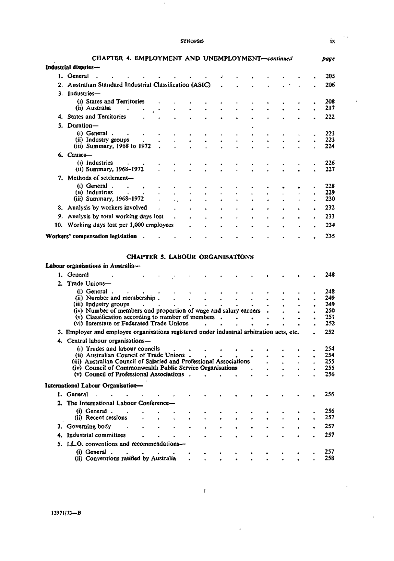### SYNOPSIS ix in the system of the system of the system of the system of the system of the system of the system of the system of the system of the system of the system of the system of the system of the system of the system

 $\sim$ 

 $\overline{\phantom{a}}$ 

 $\bar{\mathcal{A}}$ 

 $\ddot{\phantom{a}}$ 

|    | CHAPTER 4. EMPLOYMENT AND UNEMPLOYMENT-continued             |                                                       |   |           |                      |   |   |   |  | page              |
|----|--------------------------------------------------------------|-------------------------------------------------------|---|-----------|----------------------|---|---|---|--|-------------------|
|    | Industrial disputes—                                         |                                                       |   |           |                      |   |   |   |  |                   |
|    | 1. General                                                   |                                                       |   |           |                      |   |   |   |  | 205               |
|    | 2. Australian Standard Industrial Classification (ASIC).     |                                                       |   |           | $\ddot{\phantom{a}}$ |   |   |   |  | 206               |
| 3. | Industries-                                                  |                                                       |   |           |                      |   |   |   |  |                   |
|    | (1) States and Territories<br>(ii) Australia                 | ٠                                                     |   |           |                      |   |   |   |  | 208<br>217        |
|    | 4. States and Territories                                    |                                                       |   |           |                      |   |   |   |  | 222               |
|    | 5. Duration-                                                 |                                                       |   |           |                      |   | ٠ |   |  |                   |
|    | (i) General.<br>(ii) Industry groups<br>$\sim$               | $\cdot$<br>$\blacksquare$                             | ۰ | $\bullet$ |                      |   |   |   |  | 223<br>223        |
|    | (iii) Summary, 1968 to 1972                                  |                                                       |   |           |                      |   |   |   |  | 224               |
| 6. | Causes-                                                      |                                                       |   |           |                      |   |   |   |  |                   |
|    | (i) Industries<br>(ii) Summary, 1968–1972                    |                                                       |   |           |                      |   |   |   |  | 226<br>227        |
| 7. | Methods of settlement-                                       |                                                       |   |           |                      |   |   |   |  |                   |
|    | (i) General,<br>$(n)$ Industries<br>(iii) Summary, 1968–1972 | $\blacksquare$                                        |   |           |                      |   |   |   |  | 228<br>229<br>230 |
|    | 8. Analysis by workers involved                              | $\mathbf{A}$ and $\mathbf{A}$<br>$\ddot{\phantom{0}}$ |   |           |                      |   |   | ٠ |  | 232               |
|    |                                                              |                                                       |   |           |                      |   |   |   |  |                   |
|    | 9. Analysis by total working days lost                       | $\ddot{\phantom{a}}$                                  |   |           |                      |   |   |   |  | 233               |
|    | 10. Working days lost per 1,000 employees                    |                                                       |   |           |                      |   |   |   |  | 234               |
|    | Workers' compensation legislation .                          | ٠                                                     | ٠ | ¥         | ٠                    | ٠ | ٠ | ٠ |  | 235               |

#### CHAPTER 5. LABOUR ORGANISATIONS

| Labour organisations in Australia---                                                      |                                                                  |              |                      |                      |  |  |  |  |            |
|-------------------------------------------------------------------------------------------|------------------------------------------------------------------|--------------|----------------------|----------------------|--|--|--|--|------------|
| I. General                                                                                |                                                                  |              |                      |                      |  |  |  |  | 248        |
| 2. Trade Unions-                                                                          |                                                                  |              |                      |                      |  |  |  |  |            |
| (i) General                                                                               |                                                                  |              |                      |                      |  |  |  |  | 248        |
|                                                                                           | (ii) Number and membership.                                      |              |                      |                      |  |  |  |  | 249        |
| (iii) Industry groups                                                                     |                                                                  | $\mathbf{r}$ | $\ddot{\phantom{1}}$ | $\ddot{\phantom{1}}$ |  |  |  |  | 249        |
|                                                                                           | (iv) Number of members and proportion of wage and salary earners |              |                      |                      |  |  |  |  | 250        |
|                                                                                           | (v) Classification according to number of members .              |              |                      |                      |  |  |  |  | 251        |
|                                                                                           | (vi) Interstate or Federated Trade Unions                        |              |                      |                      |  |  |  |  | 252        |
| 3. Employer and employee organisations registered under industrial arbitration acts, etc. |                                                                  |              |                      |                      |  |  |  |  | 252        |
| 4. Central labour organisations-                                                          |                                                                  |              |                      |                      |  |  |  |  |            |
|                                                                                           |                                                                  |              |                      |                      |  |  |  |  |            |
|                                                                                           | (i) Trades and labour councils                                   |              |                      |                      |  |  |  |  | 254        |
|                                                                                           | (ii) Australian Council of Trade Unions.                         |              |                      |                      |  |  |  |  | 254        |
| (iii) Australian Council of Salaried and Professional Associations                        |                                                                  |              |                      |                      |  |  |  |  | 255        |
| (iv) Council of Commonwealth Public Service Organisations                                 |                                                                  |              |                      |                      |  |  |  |  | 255<br>256 |
|                                                                                           | (v) Council of Professional Associations.                        |              |                      |                      |  |  |  |  |            |
| International Labour Organisation-                                                        |                                                                  |              |                      |                      |  |  |  |  |            |
| 1. General                                                                                |                                                                  |              |                      |                      |  |  |  |  | 256        |
| The International Labour Conference-                                                      |                                                                  |              |                      |                      |  |  |  |  |            |
| (i) General.                                                                              |                                                                  |              |                      |                      |  |  |  |  | 256        |
| (ii) Recent sessions                                                                      |                                                                  |              |                      |                      |  |  |  |  | 257        |
| 3. Governing body                                                                         |                                                                  |              |                      |                      |  |  |  |  | 257        |
|                                                                                           |                                                                  |              |                      |                      |  |  |  |  |            |
| 4. Industrial committees                                                                  |                                                                  |              |                      |                      |  |  |  |  | 257        |
| 5. $1.L.O.$ conventions and recommendations- $-$                                          |                                                                  |              |                      |                      |  |  |  |  |            |
| (i) General.                                                                              |                                                                  |              |                      |                      |  |  |  |  | 257        |
|                                                                                           | (ii) Conventions ratified by Australia                           |              |                      |                      |  |  |  |  | 258        |
|                                                                                           |                                                                  |              |                      |                      |  |  |  |  |            |

 $\sim 1$ 

 $\mathbf{r}$